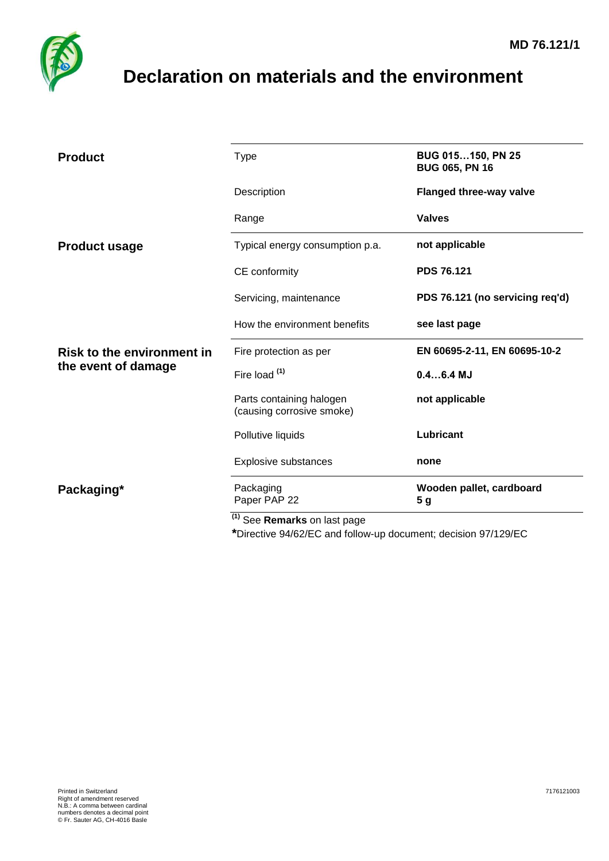

## <span id="page-0-0"></span>**Declaration on materials and the environment**

| <b>Product</b>                                           | <b>Type</b>                                           | BUG 015150, PN 25<br><b>BUG 065, PN 16</b> |
|----------------------------------------------------------|-------------------------------------------------------|--------------------------------------------|
|                                                          | Description                                           | <b>Flanged three-way valve</b>             |
|                                                          | Range                                                 | <b>Valves</b>                              |
| <b>Product usage</b>                                     | Typical energy consumption p.a.                       | not applicable                             |
|                                                          | CE conformity                                         | <b>PDS 76.121</b>                          |
|                                                          | Servicing, maintenance                                | PDS 76.121 (no servicing req'd)            |
|                                                          | How the environment benefits                          | see last page                              |
| <b>Risk to the environment in</b><br>the event of damage | Fire protection as per                                | EN 60695-2-11, EN 60695-10-2               |
|                                                          | Fire load <sup>(1)</sup>                              | $0.46.4$ MJ                                |
|                                                          | Parts containing halogen<br>(causing corrosive smoke) | not applicable                             |
|                                                          | Pollutive liquids                                     | Lubricant                                  |
|                                                          | <b>Explosive substances</b>                           | none                                       |
| Packaging*                                               | Packaging<br>Paper PAP 22                             | Wooden pallet, cardboard<br>5 <sub>g</sub> |
|                                                          | $\overline{^{(1)}}$ See Remarks on last page          |                                            |

**\***Directive 94/62/EC and follow-up document; decision 97/129/EC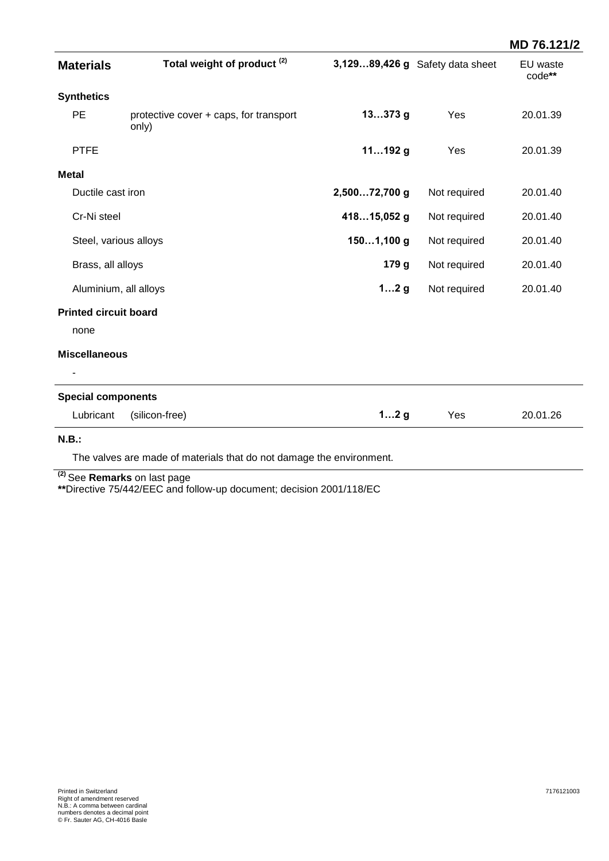|                              |                                                 |               |                                 | MD 76.121/2        |
|------------------------------|-------------------------------------------------|---------------|---------------------------------|--------------------|
| <b>Materials</b>             | Total weight of product <sup>(2)</sup>          |               | 3,12989,426 g Safety data sheet | EU waste<br>code** |
| <b>Synthetics</b>            |                                                 |               |                                 |                    |
| PE                           | protective cover + caps, for transport<br>only) | $13373$ g     | Yes                             | 20.01.39           |
| <b>PTFE</b>                  |                                                 | $11192$ g     | Yes                             | 20.01.39           |
| <b>Metal</b>                 |                                                 |               |                                 |                    |
| Ductile cast iron            |                                                 | 2,50072,700 g | Not required                    | 20.01.40           |
| Cr-Ni steel                  |                                                 | 41815,052 g   | Not required                    | 20.01.40           |
| Steel, various alloys        |                                                 | 1501,100 g    | Not required                    | 20.01.40           |
| Brass, all alloys            |                                                 | 179 g         | Not required                    | 20.01.40           |
| Aluminium, all alloys        |                                                 | 12g           | Not required                    | 20.01.40           |
| <b>Printed circuit board</b> |                                                 |               |                                 |                    |
| none                         |                                                 |               |                                 |                    |
| <b>Miscellaneous</b>         |                                                 |               |                                 |                    |
|                              |                                                 |               |                                 |                    |
| <b>Special components</b>    |                                                 |               |                                 |                    |
| Lubricant                    | (silicon-free)                                  | 12g           | Yes                             | 20.01.26           |
| $\mathbf{H}$ $\mathbf{B}$ .  |                                                 |               |                                 |                    |

**N.B.:**

The valves are made of materials that do not damage the environment.

**(2)** See **Remarks** on last page

**\*\***Directive 75/442/EEC and follow-up document; decision 2001/118/EC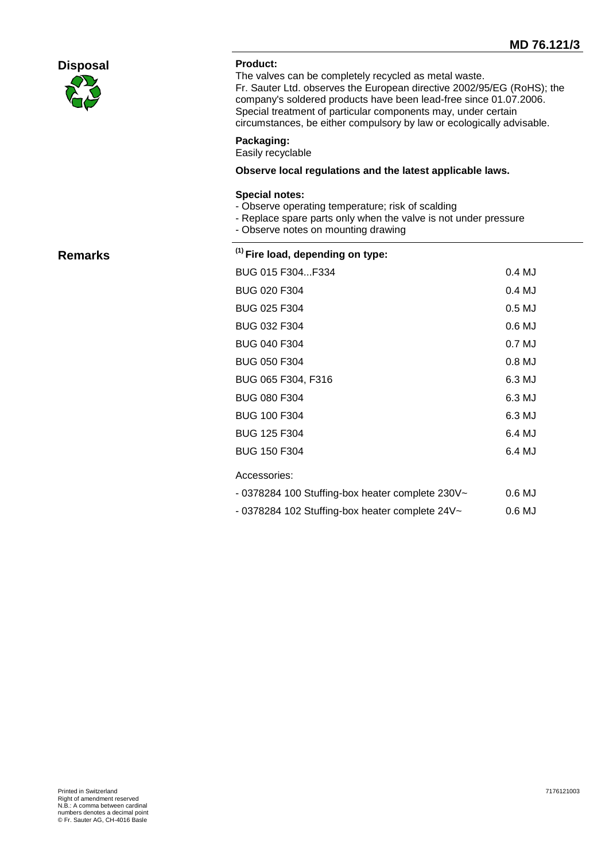|                 |                                                                                                                                                                                      | <b>MD 76.121</b>                                                                                                                                                                                                                                                                                                                               |  |  |
|-----------------|--------------------------------------------------------------------------------------------------------------------------------------------------------------------------------------|------------------------------------------------------------------------------------------------------------------------------------------------------------------------------------------------------------------------------------------------------------------------------------------------------------------------------------------------|--|--|
| <b>Disposal</b> | <b>Product:</b>                                                                                                                                                                      | The valves can be completely recycled as metal waste.<br>Fr. Sauter Ltd. observes the European directive 2002/95/EG (RoHS); the<br>company's soldered products have been lead-free since 01.07.2006.<br>Special treatment of particular components may, under certain<br>circumstances, be either compulsory by law or ecologically advisable. |  |  |
|                 | Packaging:<br>Easily recyclable                                                                                                                                                      |                                                                                                                                                                                                                                                                                                                                                |  |  |
|                 | Observe local regulations and the latest applicable laws.                                                                                                                            |                                                                                                                                                                                                                                                                                                                                                |  |  |
|                 | <b>Special notes:</b><br>- Observe operating temperature; risk of scalding<br>- Replace spare parts only when the valve is not under pressure<br>- Observe notes on mounting drawing |                                                                                                                                                                                                                                                                                                                                                |  |  |
| <b>Remarks</b>  | $(1)$ Fire load, depending on type:                                                                                                                                                  |                                                                                                                                                                                                                                                                                                                                                |  |  |
|                 | BUG 015 F304F334                                                                                                                                                                     | 0.4 MJ                                                                                                                                                                                                                                                                                                                                         |  |  |
|                 | BUG 020 F304                                                                                                                                                                         | 0.4 MJ                                                                                                                                                                                                                                                                                                                                         |  |  |
|                 | BUG 025 F304                                                                                                                                                                         | $0.5$ MJ                                                                                                                                                                                                                                                                                                                                       |  |  |
|                 | BUG 032 F304                                                                                                                                                                         | 0.6 MJ                                                                                                                                                                                                                                                                                                                                         |  |  |
|                 | BUG 040 F304                                                                                                                                                                         | 0.7 MJ                                                                                                                                                                                                                                                                                                                                         |  |  |
|                 | BUG 050 F304                                                                                                                                                                         | 0.8 MJ                                                                                                                                                                                                                                                                                                                                         |  |  |
|                 | BUG 065 F304, F316                                                                                                                                                                   | 6.3 MJ                                                                                                                                                                                                                                                                                                                                         |  |  |
|                 | BUG 080 F304                                                                                                                                                                         | 6.3 MJ                                                                                                                                                                                                                                                                                                                                         |  |  |
|                 | <b>BUG 100 F304</b>                                                                                                                                                                  | 6.3 MJ                                                                                                                                                                                                                                                                                                                                         |  |  |
|                 | BUG 125 F304                                                                                                                                                                         | 6.4 MJ                                                                                                                                                                                                                                                                                                                                         |  |  |
|                 | <b>BUG 150 F304</b>                                                                                                                                                                  | 6.4 MJ                                                                                                                                                                                                                                                                                                                                         |  |  |
|                 | Accessories:                                                                                                                                                                         |                                                                                                                                                                                                                                                                                                                                                |  |  |

- 0378284 100 Stuffing-box heater complete 230V~ 0.6 MJ
- 0378284 102 Stuffing-box heater complete 24V~ 0.6 MJ